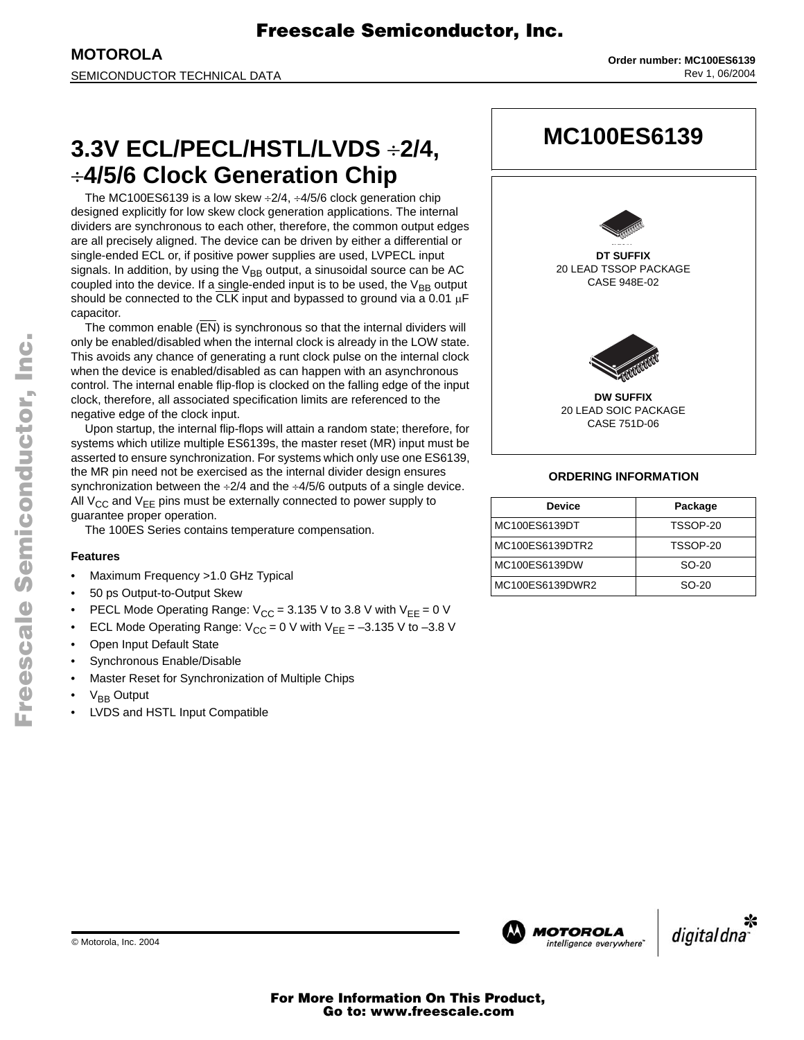**MOTOROLA** SEMICONDUCTOR TECHNICAL DATA

# **3.3V ECL/PECL/HSTL/LVDS** ÷**2/4,** ÷**4/5/6 Clock Generation Chip**

The MC100ES6139 is a low skew  $\div 2/4$ ,  $\div 4/5/6$  clock generation chip designed explicitly for low skew clock generation applications. The internal dividers are synchronous to each other, therefore, the common output edges are all precisely aligned. The device can be driven by either a differential or single-ended ECL or, if positive power supplies are used, LVPECL input signals. In addition, by using the  $V_{BB}$  output, a sinusoidal source can be AC coupled into the device. If a single-ended input is to be used, the  $V_{BB}$  output should be connected to the CLK input and bypassed to ground via a 0.01  $\mu$ F capacitor.

The common enable (EN) is synchronous so that the internal dividers will only be enabled/disabled when the internal clock is already in the LOW state. This avoids any chance of generating a runt clock pulse on the internal clock when the device is enabled/disabled as can happen with an asynchronous control. The internal enable flip-flop is clocked on the falling edge of the input clock, therefore, all associated specification limits are referenced to the negative edge of the clock input.

Upon startup, the internal flip-flops will attain a random state; therefore, for systems which utilize multiple ES6139s, the master reset (MR) input must be asserted to ensure synchronization. For systems which only use one ES6139, the MR pin need not be exercised as the internal divider design ensures synchronization between the  $\div 2/4$  and the  $\div 4/5/6$  outputs of a single device. All  $V_{CC}$  and  $V_{EE}$  pins must be externally connected to power supply to guarantee proper operation.

The 100ES Series contains temperature compensation.

### **Features**

- Maximum Frequency >1.0 GHz Typical
- 50 ps Output-to-Output Skew
- PECL Mode Operating Range:  $V_{CC} = 3.135$  V to 3.8 V with  $V_{EE} = 0$  V
- ECL Mode Operating Range:  $V_{CC} = 0$  V with  $V_{EE} = -3.135$  V to  $-3.8$  V
- Open Input Default State
- Synchronous Enable/Disable
- Master Reset for Synchronization of Multiple Chips
- $V_{BB}$  Output
- LVDS and HSTL Input Compatible



### **ORDERING INFORMATION**

| <b>Device</b>   | Package  |
|-----------------|----------|
| MC100ES6139DT   | TSSOP-20 |
| MC100ES6139DTR2 | TSSOP-20 |
| MC100ES6139DW   | $SO-20$  |
| MC100ES6139DWR2 | $SO-20$  |



.<br>ق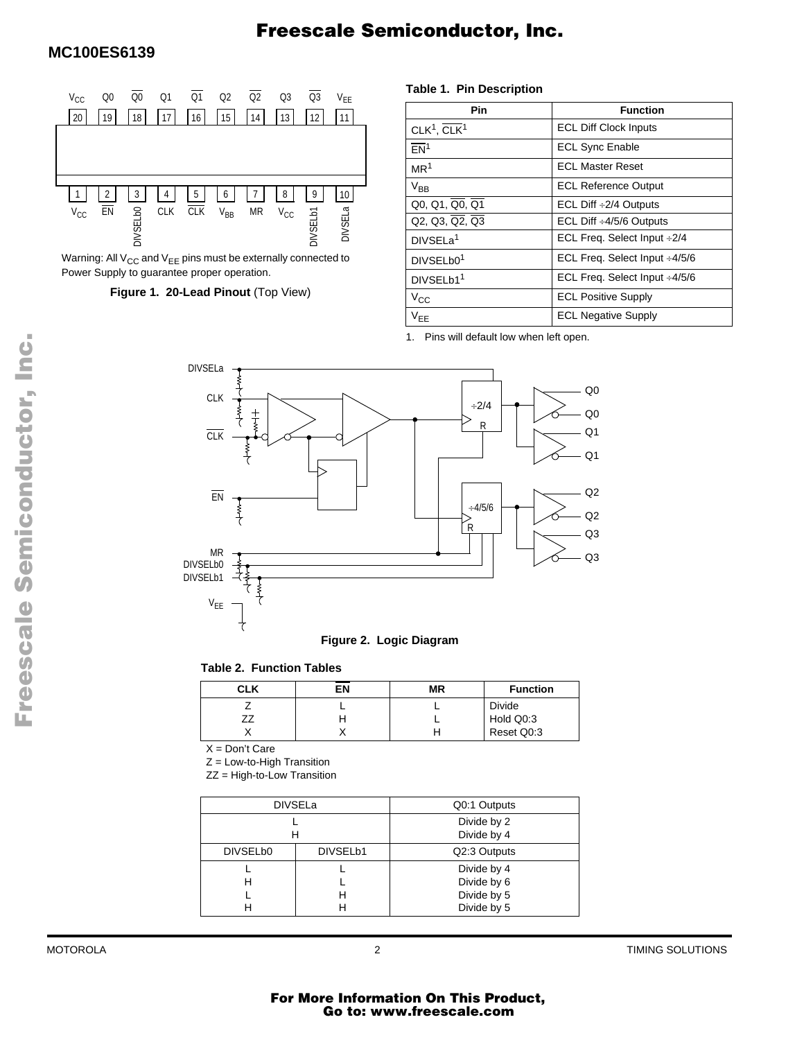

Warning: All  $V_{CC}$  and  $V_{EE}$  pins must be externally connected to Power Supply to guarantee proper operation.

### **Figure 1. 20-Lead Pinout** (Top View)

#### **Table 1. Pin Description**

| Pin                                    | <b>Function</b>                     |
|----------------------------------------|-------------------------------------|
| CLK <sup>1</sup> , $CLK1$              | <b>ECL Diff Clock Inputs</b>        |
| FN <sup>1</sup>                        | <b>ECL Sync Enable</b>              |
| MR <sup>1</sup>                        | <b>ECL Master Reset</b>             |
| $\rm V_{BB}$                           | <b>ECL Reference Output</b>         |
| $Q0, Q1, Q0, Q1$                       | ECL Diff $\div 2/4$ Outputs         |
| $Q2, Q3, \overline{Q2}, \overline{Q3}$ | ECL Diff $\div 4/5/6$ Outputs       |
| DIVSELa <sup>1</sup>                   | ECL Freq. Select Input ÷2/4         |
| DIVSELb0 <sup>1</sup>                  | ECL Freq. Select Input ÷4/5/6       |
| DIVSELb1 <sup>1</sup>                  | ECL Freq. Select Input $\div 4/5/6$ |
| $V_{CC}$                               | <b>ECL Positive Supply</b>          |
| $V_{EE}$                               | <b>ECL Negative Supply</b>          |

1. Pins will default low when left open.



#### **Table 2. Function Tables**

| CLK | ΕN | ΜR | <b>Function</b> |
|-----|----|----|-----------------|
|     |    |    | <b>Divide</b>   |
|     |    |    | Hold Q0:3       |
|     |    |    | Reset Q0:3      |

 $X = Don't Care$ 

 $Z =$  Low-to-High Transition

ZZ = High-to-Low Transition

|          | <b>DIVSELa</b>       | Q0:1 Outputs                                             |  |  |
|----------|----------------------|----------------------------------------------------------|--|--|
|          |                      | Divide by 2<br>Divide by 4                               |  |  |
| DIVSELb0 | DIVSEL <sub>b1</sub> | Q2:3 Outputs                                             |  |  |
| н<br>Н   |                      | Divide by 4<br>Divide by 6<br>Divide by 5<br>Divide by 5 |  |  |

Fr  $\boldsymbol{\Phi}$  $\bf \Phi$  $\boldsymbol{\eta}$  $\mathbf 0$ ale  $\boldsymbol{g}$  $\bf \Phi$ mic o n d u  $\mathbf 0$ t o r, I n .<br>ق

MOTOROLA 2 TIMING SOLUTIONS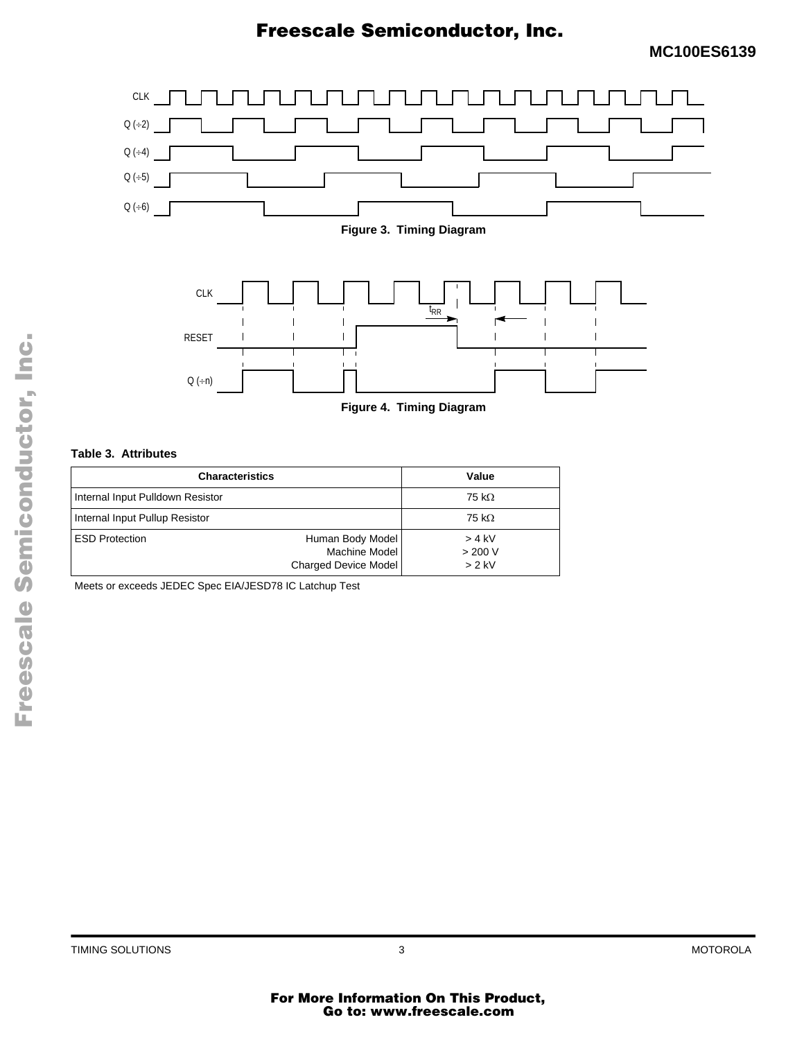



**Figure 4. Timing Diagram**

#### **Table 3. Attributes**

| <b>Characteristics</b>           | Value                                                     |                                 |
|----------------------------------|-----------------------------------------------------------|---------------------------------|
| Internal Input Pulldown Resistor | 75 k $\Omega$                                             |                                 |
| Internal Input Pullup Resistor   | 75 k $\Omega$                                             |                                 |
| <b>ESD Protection</b>            | Human Body Model<br>Machine Model<br>Charged Device Model | $> 4$ kV<br>> 200 V<br>$> 2$ kV |

Meets or exceeds JEDEC Spec EIA/JESD78 IC Latchup Test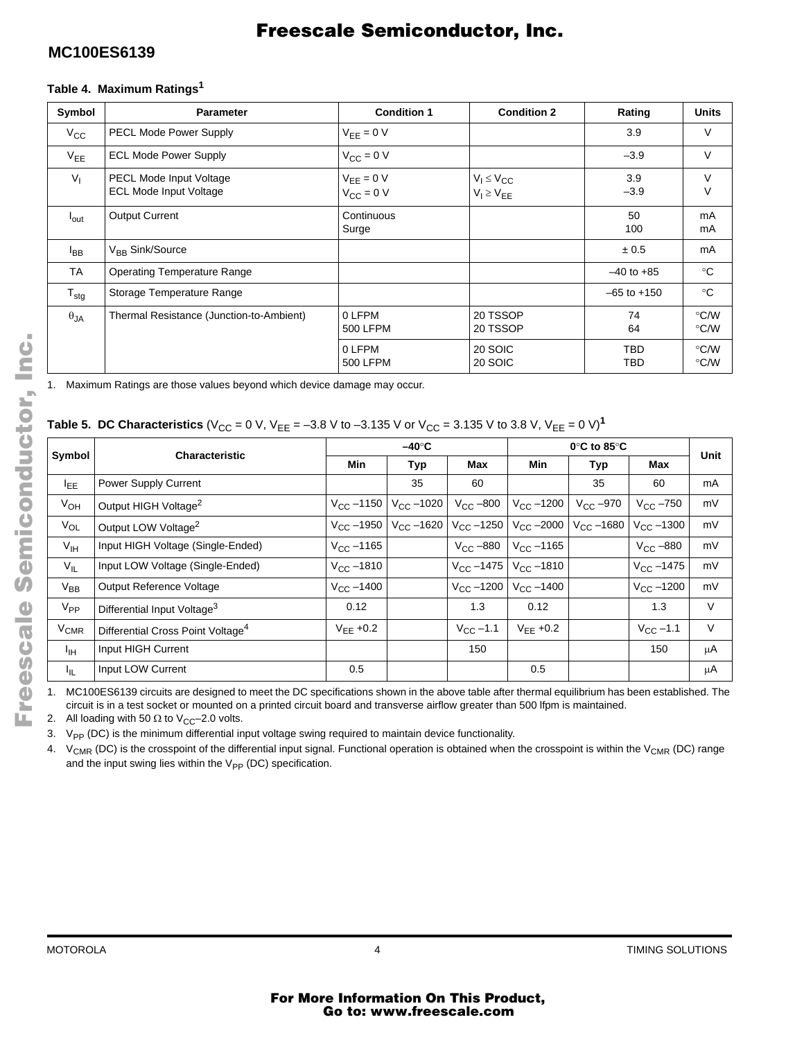### **MC100ES6139**

# Freescale Semiconductor, Inc.

### **Table 4. Maximum Ratings<sup>1</sup>**

| Symbol           | <b>Parameter</b>                                                | <b>Condition 1</b>               | <b>Condition 2</b>                     | Rating            | <b>Units</b> |
|------------------|-----------------------------------------------------------------|----------------------------------|----------------------------------------|-------------------|--------------|
| $V_{\rm CC}$     | <b>PECL Mode Power Supply</b>                                   | $V_{EE} = 0 V$                   |                                        | 3.9               | V            |
| $V_{EE}$         | <b>ECL Mode Power Supply</b>                                    | $V_{CC} = 0 V$                   |                                        | $-3.9$            | $\vee$       |
| $V_{I}$          | <b>PECL Mode Input Voltage</b><br><b>ECL Mode Input Voltage</b> | $V_{EE} = 0 V$<br>$V_{CC} = 0 V$ | $V_1 \leq V_{CC}$<br>$V_I \geq V_{EE}$ | 3.9<br>$-3.9$     | V<br>$\vee$  |
| $I_{\text{out}}$ | <b>Output Current</b>                                           | Continuous<br>Surge              |                                        | 50<br>100         | mA<br>mA     |
| <sup>I</sup> BB  | V <sub>RR</sub> Sink/Source                                     |                                  |                                        | ± 0.5             | mA           |
| TA               | <b>Operating Temperature Range</b>                              |                                  |                                        | $-40$ to $+85$    | $^{\circ}C$  |
| $T_{\text{stg}}$ | Storage Temperature Range                                       |                                  |                                        | $-65$ to $+150$   | $^{\circ}C$  |
| $\theta_{JA}$    | Thermal Resistance (Junction-to-Ambient)                        | 0 LFPM<br>500 LFPM               | 20 TSSOP<br>20 TSSOP                   | 74<br>64          | °C/W<br>°C/W |
|                  |                                                                 | 0 LFPM<br>500 LFPM               | 20 SOIC<br>20 SOIC                     | <b>TBD</b><br>TBD | °C/W<br>°C/W |

1. Maximum Ratings are those values beyond which device damage may occur.

### **Table 5. DC Characteristics** (V<sub>CC</sub> = 0 V, V<sub>EE</sub> = -3.8 V to -3.135 V or V<sub>CC</sub> = 3.135 V to 3.8 V, V<sub>EE</sub> = 0 V)<sup>1</sup>

|                        |                                               |                    | $-40^\circ C$       |                        | $0^\circ$ C to 85 $^\circ$ C |                   |                     |      |
|------------------------|-----------------------------------------------|--------------------|---------------------|------------------------|------------------------------|-------------------|---------------------|------|
| Symbol                 | <b>Characteristic</b>                         | <b>Min</b>         | Typ                 | Max                    | Min                          | Typ               | Max                 | Unit |
| <sub>EE</sub>          | Power Supply Current                          |                    | 35                  | 60                     |                              | 35                | 60                  | mA   |
| $V_{OH}$               | Output HIGH Voltage <sup>2</sup>              | $V_{\rm CC}$ –1150 | $V_{\rm CC} - 1020$ | $V_{\rm CC}$ –800      | $V_{\text{CC}} - 1200$       | $V_{\rm CC}$ –970 | $V_{\rm CC}$ –750   | mV   |
| $V_{OL}$               | Output LOW Voltage <sup>2</sup>               | $V_{CC} - 1950$    | $V_{CC}$ -1620      | $V_{\text{CC}} - 1250$ | $V_{\rm CC} - 2000$          | $V_{CC}$ -1680    | $V_{\rm CC} - 1300$ | mV   |
| $V_{\text{IH}}$        | Input HIGH Voltage (Single-Ended)             | $V_{\rm CC}$ –1165 |                     | $V_{CC}$ -880          | $V_{C}$ –1165                |                   | $V_{CC}$ -880       | mV   |
| $V_{IL}$               | Input LOW Voltage (Single-Ended)              | $V_{CC}$ –1810     |                     | $V_{\rm CC}$ –1475     | $V_{CC}$ –1810               |                   | $V_{\rm CC}$ –1475  | mV   |
| $V_{BB}$               | Output Reference Voltage                      | $V_{CC} - 1400$    |                     | $V_{CC} - 1200$        | $V_{\rm CC} - 1400$          |                   | $V_{\rm CC} - 1200$ | mV   |
| $V_{PP}$               | Differential Input Voltage <sup>3</sup>       | 0.12               |                     | 1.3                    | 0.12                         |                   | 1.3                 | V    |
| <b>V<sub>CMR</sub></b> | Differential Cross Point Voltage <sup>4</sup> | $V_{FF}$ +0.2      |                     | $V_{\rm CC}$ –1.1      | $V_{EE}$ +0.2                |                   | $V_{CC}$ -1.1       | V    |
| $I_{\text{IH}}$        | Input HIGH Current                            |                    |                     | 150                    |                              |                   | 150                 | μA   |
| ΙL.                    | Input LOW Current                             | 0.5                |                     |                        | 0.5                          |                   |                     | μA   |

1. MC100ES6139 circuits are designed to meet the DC specifications shown in the above table after thermal equilibrium has been established. The circuit is in a test socket or mounted on a printed circuit board and transverse airflow greater than 500 lfpm is maintained.

2. All loading with 50  $\Omega$  to V<sub>CC</sub>-2.0 volts.

3.  $V_{PP}$  (DC) is the minimum differential input voltage swing required to maintain device functionality.

4. V<sub>CMR</sub> (DC) is the crosspoint of the differential input signal. Functional operation is obtained when the crosspoint is within the V<sub>CMR</sub> (DC) range and the input swing lies within the  $V_{PP}$  (DC) specification.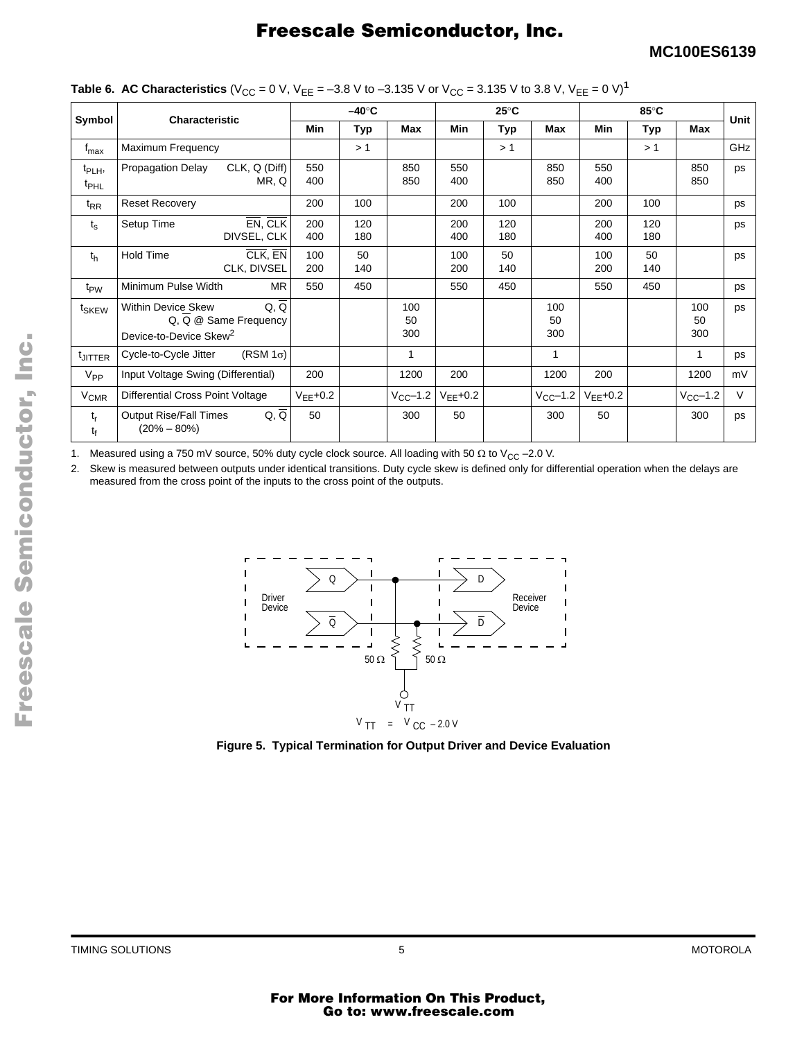|                                        |                                                                 |                                 |               |               |                  | ັ              |            |                   |               |            |                  |        |
|----------------------------------------|-----------------------------------------------------------------|---------------------------------|---------------|---------------|------------------|----------------|------------|-------------------|---------------|------------|------------------|--------|
|                                        | Characteristic                                                  |                                 |               | $-40^\circ C$ |                  | $25^{\circ}$ C |            | 85°C              |               |            | <b>Unit</b>      |        |
| Symbol                                 |                                                                 |                                 | Min           | Тур           | Max              | Min            | Typ        | Max               | Min           | Typ        | Max              |        |
| t <sub>max</sub>                       | Maximum Frequency                                               |                                 |               | >1            |                  |                | >1         |                   |               | >1         |                  | GHz    |
| t <sub>PLH</sub> ,<br>$t_{\text{PHL}}$ | <b>Propagation Delay</b>                                        | CLK, Q (Diff)<br>MR, Q          | 550<br>400    |               | 850<br>850       | 550<br>400     |            | 850<br>850        | 550<br>400    |            | 850<br>850       | ps     |
| $t_{RR}$                               | <b>Reset Recovery</b>                                           |                                 | 200           | 100           |                  | 200            | 100        |                   | 200           | 100        |                  | ps     |
| $t_{\rm s}$                            | Setup Time                                                      | EN, CLK<br>DIVSEL, CLK          | 200<br>400    | 120<br>180    |                  | 200<br>400     | 120<br>180 |                   | 200<br>400    | 120<br>180 |                  | ps     |
| $t_{h}$                                | <b>Hold Time</b>                                                | CLK, EN<br>CLK, DIVSEL          | 100<br>200    | 50<br>140     |                  | 100<br>200     | 50<br>140  |                   | 100<br>200    | 50<br>140  |                  | ps     |
| t <sub>PW</sub>                        | Minimum Pulse Width                                             | <b>MR</b>                       | 550           | 450           |                  | 550            | 450        |                   | 550           | 450        |                  | ps     |
| t <sub>SKEW</sub>                      | <b>Within Device Skew</b><br>Device-to-Device Skew <sup>2</sup> | Q, Q<br>$Q, Q$ @ Same Frequency |               |               | 100<br>50<br>300 |                |            | 100<br>50<br>300  |               |            | 100<br>50<br>300 | ps     |
| <sup>t</sup> JITTER                    | Cycle-to-Cycle Jitter                                           | $(RSM 1\sigma)$                 |               |               |                  |                |            | 1                 |               |            | 1                | ps     |
| $V_{PP}$                               | Input Voltage Swing (Differential)                              |                                 | 200           |               | 1200             | 200            |            | 1200              | 200           |            | 1200             | mV     |
| <b>V<sub>CMR</sub></b>                 | Differential Cross Point Voltage                                |                                 | $V_{EE}$ +0.2 |               | $V_{CC}$ -1.2    | $V_{EE}$ +0.2  |            | $V_{\rm CC}$ –1.2 | $V_{EE}$ +0.2 |            | $V_{CC}$ -1.2    | $\vee$ |
| $t_r$<br>t <sub>f</sub>                | <b>Output Rise/Fall Times</b><br>$(20\% - 80\%)$                | $Q, \overline{Q}$               | 50            |               | 300              | 50             |            | 300               | 50            |            | 300              | ps     |

1. Measured using a 750 mV source, 50% duty cycle clock source. All loading with 50  $\Omega$  to V<sub>CC</sub> –2.0 V.

2. Skew is measured between outputs under identical transitions. Duty cycle skew is defined only for differential operation when the delays are measured from the cross point of the inputs to the cross point of the outputs.



**Figure 5. Typical Termination for Output Driver and Device Evaluation**

TIMING SOLUTIONS 5 MOTOROLA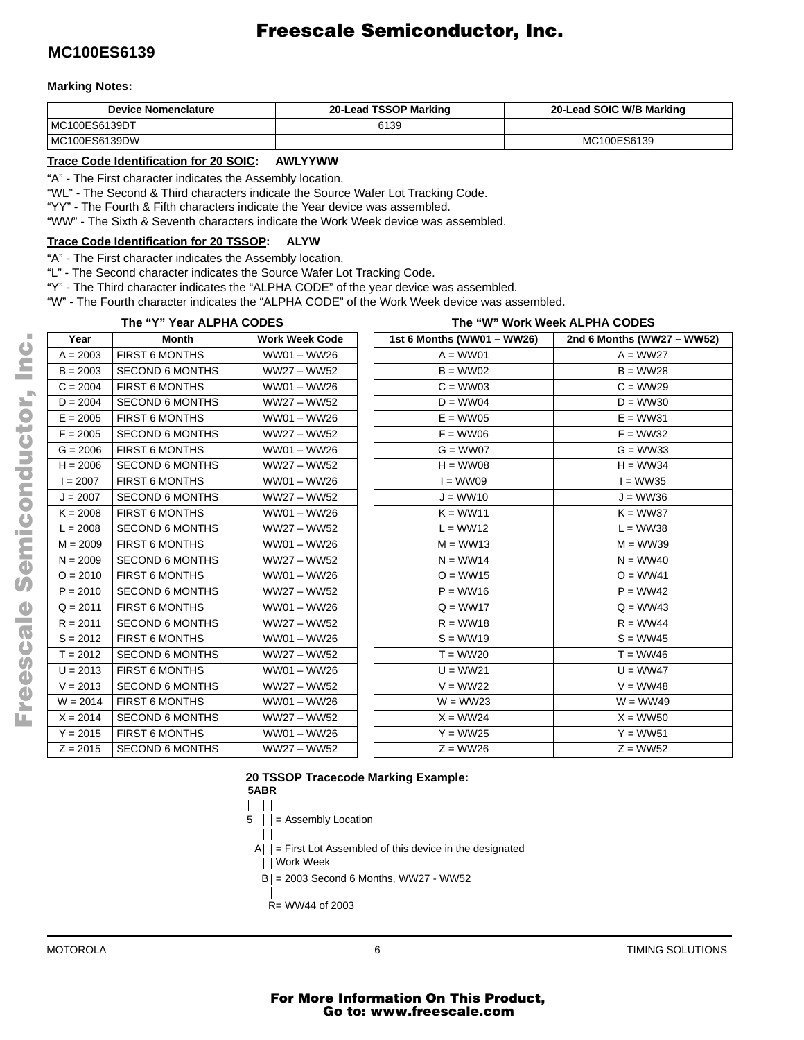### **MC100ES6139**

#### **Marking Notes:**

| <b>Device Nomenclature</b> | 20-Lead TSSOP Marking | 20-Lead SOIC W/B Marking |
|----------------------------|-----------------------|--------------------------|
| MC100ES6139DT              | 6139                  |                          |
| MC100ES6139DW              |                       | MC100ES6139              |

#### **Trace Code Identification for 20 SOIC: AWLYYWW**

"A" - The First character indicates the Assembly location.

"WL" - The Second & Third characters indicate the Source Wafer Lot Tracking Code.

"YY" - The Fourth & Fifth characters indicate the Year device was assembled.

"WW" - The Sixth & Seventh characters indicate the Work Week device was assembled.

#### **Trace Code Identification for 20 TSSOP: ALYW**

"A" - The First character indicates the Assembly location.

"L" - The Second character indicates the Source Wafer Lot Tracking Code.

"Y" - The Third character indicates the "ALPHA CODE" of the year device was assembled.

"W" - The Fourth character indicates the "ALPHA CODE" of the Work Week device was assembled.

|            | The "Y" Year ALPHA CODES |                       |  | The "W" Work Week ALPHA CODES |                            |
|------------|--------------------------|-----------------------|--|-------------------------------|----------------------------|
| Year       | <b>Month</b>             | <b>Work Week Code</b> |  | 1st 6 Months (WW01 - WW26)    | 2nd 6 Months (WW27 - WW52) |
| $A = 2003$ | FIRST 6 MONTHS           | WW01 - WW26           |  | $A = WW01$                    | $A = WW27$                 |
| $B = 2003$ | <b>SECOND 6 MONTHS</b>   | WW27 - WW52           |  | $B = WW02$                    | $B = WW28$                 |
| $C = 2004$ | FIRST 6 MONTHS           | WW01 - WW26           |  | $C = WW03$                    | $C = WW29$                 |
| $D = 2004$ | <b>SECOND 6 MONTHS</b>   | WW27 - WW52           |  | $D = WW04$                    | $D = WW30$                 |
| $E = 2005$ | FIRST 6 MONTHS           | WW01 - WW26           |  | $E = WW05$                    | $E = WW31$                 |
| $F = 2005$ | <b>SECOND 6 MONTHS</b>   | WW27 - WW52           |  | $F = WW06$                    | $F = WW32$                 |
| $G = 2006$ | FIRST 6 MONTHS           | WW01 - WW26           |  | $G = WW07$                    | $G = WW33$                 |
| $H = 2006$ | <b>SECOND 6 MONTHS</b>   | WW27 - WW52           |  | $H = WW08$                    | $H = WW34$                 |
| $I = 2007$ | FIRST 6 MONTHS           | WW01 - WW26           |  | $I = WW09$                    | $I = WW35$                 |
| $J = 2007$ | <b>SECOND 6 MONTHS</b>   | WW27 - WW52           |  | $J = WW10$                    | $J = WW36$                 |
| $K = 2008$ | FIRST 6 MONTHS           | WW01 - WW26           |  | $K = WW11$                    | $K = WW37$                 |
| $L = 2008$ | <b>SECOND 6 MONTHS</b>   | WW27 – WW52           |  | $L = WW12$                    | $L = WW38$                 |
| $M = 2009$ | FIRST 6 MONTHS           | WW01 - WW26           |  | $M = WW13$                    | $M = WW39$                 |
| $N = 2009$ | <b>SECOND 6 MONTHS</b>   | WW27 – WW52           |  | $N = WW14$                    | $N = WW40$                 |
| $O = 2010$ | FIRST 6 MONTHS           | WW01 - WW26           |  | $O = WW15$                    | $O = WW41$                 |
| $P = 2010$ | <b>SECOND 6 MONTHS</b>   | WW27 - WW52           |  | $P = WW16$                    | $P = WW42$                 |
| $Q = 2011$ | FIRST 6 MONTHS           | WW01 - WW26           |  | $Q = WW17$                    | $Q = WW43$                 |
| $R = 2011$ | <b>SECOND 6 MONTHS</b>   | WW27 - WW52           |  | $R = WW18$                    | $R = WW44$                 |
| $S = 2012$ | FIRST 6 MONTHS           | WW01 - WW26           |  | $S = WW19$                    | $S = WW45$                 |
| $T = 2012$ | <b>SECOND 6 MONTHS</b>   | WW27 - WW52           |  | $T = WW20$                    | $T = WW46$                 |
| $U = 2013$ | FIRST 6 MONTHS           | WW01 - WW26           |  | $U = WW21$                    | $U = WW47$                 |
| $V = 2013$ | <b>SECOND 6 MONTHS</b>   | WW27 - WW52           |  | $V = WW22$                    | $V = WW48$                 |
| $W = 2014$ | FIRST 6 MONTHS           | WW01 - WW26           |  | $W = WW23$                    | $W = WW49$                 |
| $X = 2014$ | <b>SECOND 6 MONTHS</b>   | WW27 - WW52           |  | $X = WW24$                    | $X = WW50$                 |
| $Y = 2015$ | FIRST 6 MONTHS           | WW01 - WW26           |  | $Y = WW25$                    | $Y = WW51$                 |
| $Z = 2015$ | <b>SECOND 6 MONTHS</b>   | WW27 - WW52           |  | $Z = WW26$                    | $Z = WW52$                 |

#### **20 TSSOP Tracecode Marking Example:**



5 | | = Assembly Location

 $\blacksquare$  $A \mid \cdot$  = First Lot Assembled of this device in the designated

Work Week

- $B = 2003$  Second 6 Months, WW27 WW52
- R= WW44 of 2003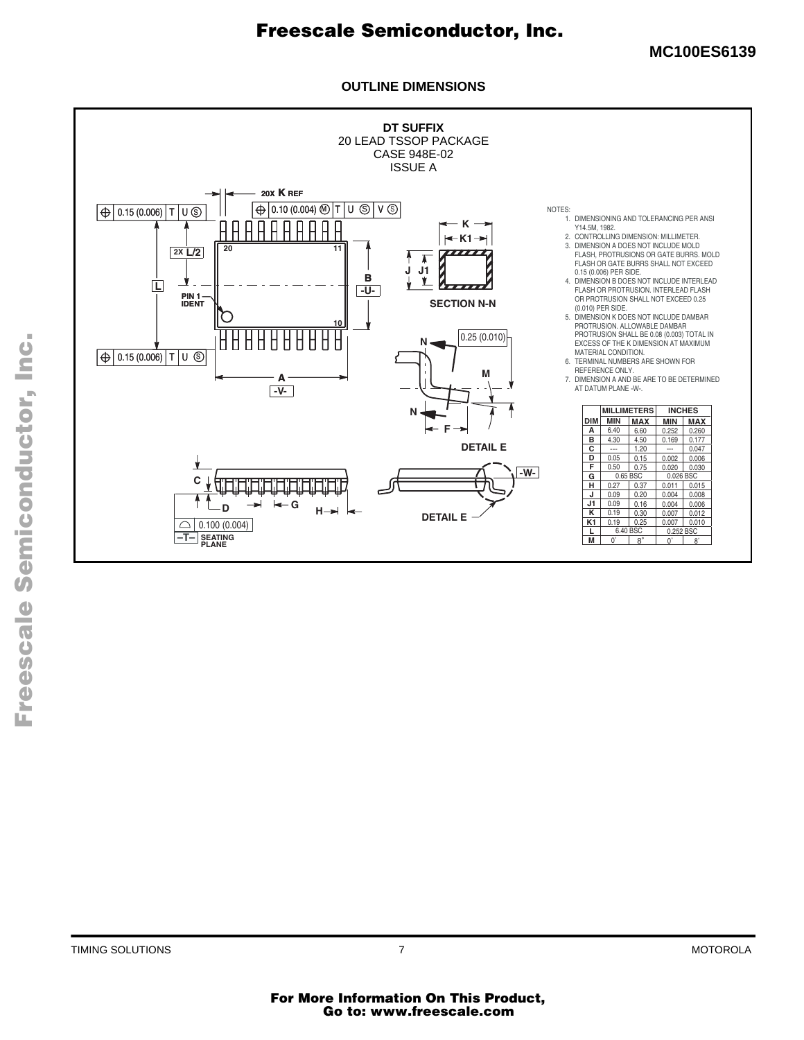**MC100ES6139**

### **OUTLINE DIMENSIONS**

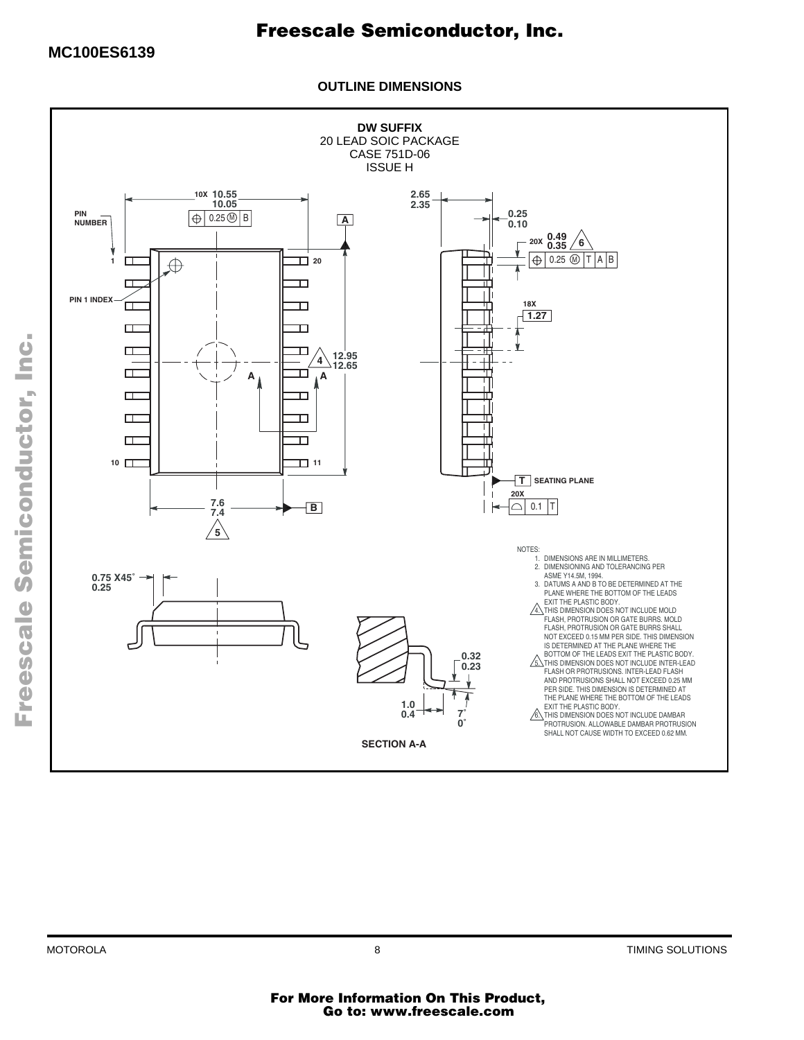**OUTLINE DIMENSIONS**



.<br>ق

F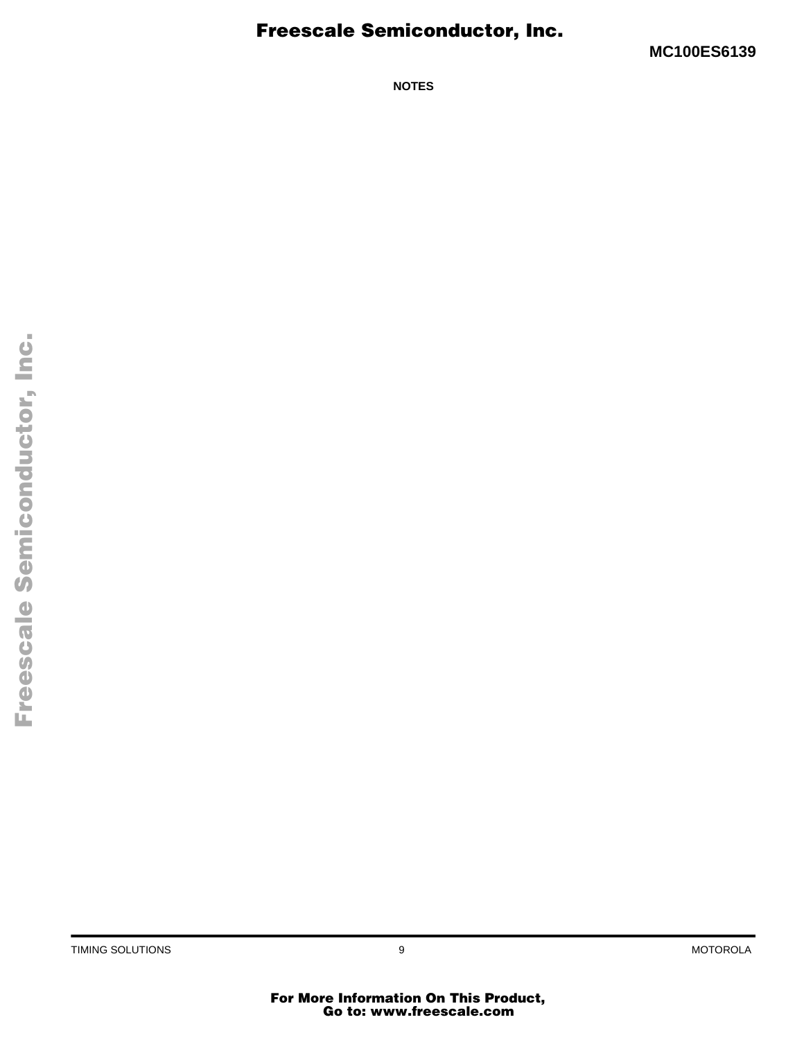**MC100ES6139**

**NOTES**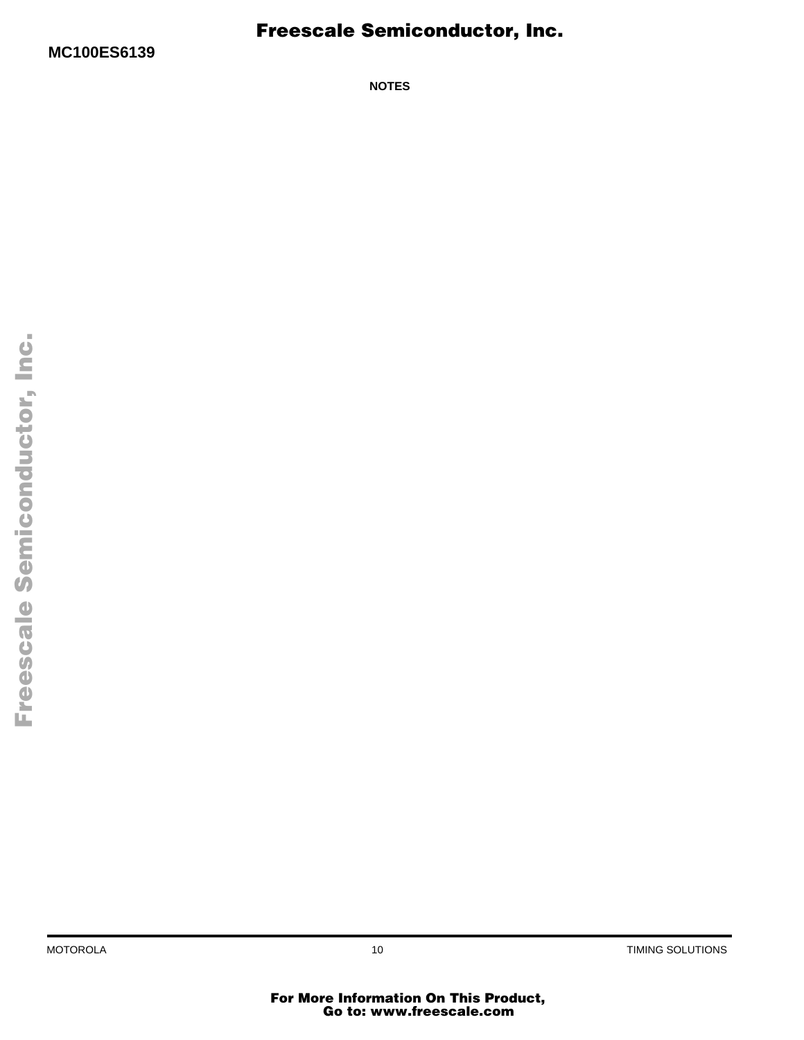**NOTES**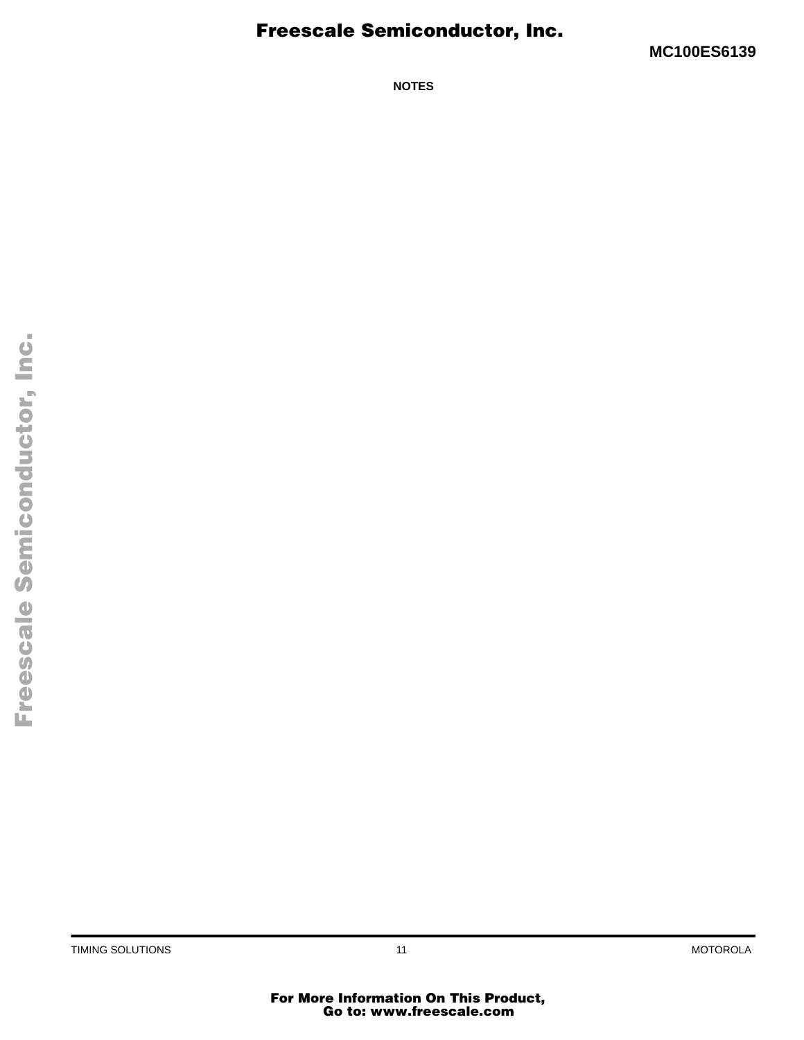**MC100ES6139**

**NOTES**